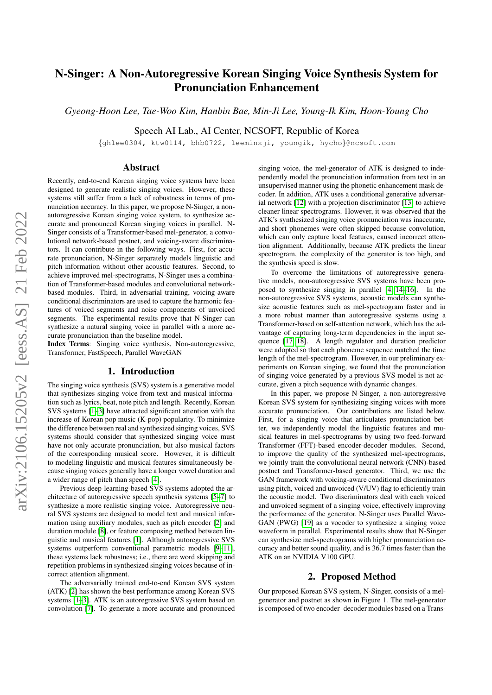# N-Singer: A Non-Autoregressive Korean Singing Voice Synthesis System for Pronunciation Enhancement

*Gyeong-Hoon Lee, Tae-Woo Kim, Hanbin Bae, Min-Ji Lee, Young-Ik Kim, Hoon-Young Cho*

Speech AI Lab., AI Center, NCSOFT, Republic of Korea

{ghlee0304, ktw0114, bhb0722, leeminxji, youngik, hycho}@ncsoft.com

## Abstract

Recently, end-to-end Korean singing voice systems have been designed to generate realistic singing voices. However, these systems still suffer from a lack of robustness in terms of pronunciation accuracy. In this paper, we propose N-Singer, a nonautoregressive Korean singing voice system, to synthesize accurate and pronounced Korean singing voices in parallel. N-Singer consists of a Transformer-based mel-generator, a convolutional network-based postnet, and voicing-aware discriminators. It can contribute in the following ways. First, for accurate pronunciation, N-Singer separately models linguistic and pitch information without other acoustic features. Second, to achieve improved mel-spectrograms, N-Singer uses a combination of Transformer-based modules and convolutional networkbased modules. Third, in adversarial training, voicing-aware conditional discriminators are used to capture the harmonic features of voiced segments and noise components of unvoiced segments. The experimental results prove that N-Singer can synthesize a natural singing voice in parallel with a more accurate pronunciation than the baseline model.

Index Terms: Singing voice synthesis, Non-autoregressive, Transformer, FastSpeech, Parallel WaveGAN

### 1. Introduction

The singing voice synthesis (SVS) system is a generative model that synthesizes singing voice from text and musical information such as lyrics, beat, note pitch and length. Recently, Korean SVS systems [\[1–](#page-4-0)[3\]](#page-4-1) have attracted significant attention with the increase of Korean pop music (K-pop) popularity. To minimize the difference between real and synthesized singing voices, SVS systems should consider that synthesized singing voice must have not only accurate pronunciation, but also musical factors of the corresponding musical score. However, it is difficult to modeling linguistic and musical features simultaneously because singing voices generally have a longer vowel duration and a wider range of pitch than speech [\[4\]](#page-4-2).

Previous deep-learning-based SVS systems adopted the architecture of autoregressive speech synthesis systems [\[5–](#page-4-3)[7\]](#page-4-4) to synthesize a more realistic singing voice. Autoregressive neural SVS systems are designed to model text and musical information using auxiliary modules, such as pitch encoder [\[2\]](#page-4-5) and duration module [\[8\]](#page-4-6), or feature composing method between linguistic and musical features [\[1\]](#page-4-0). Although autoregressive SVS systems outperform conventional parametric models [\[9–](#page-4-7)[11\]](#page-4-8), these systems lack robustness; i.e., there are word skipping and repetition problems in synthesized singing voices because of incorrect attention alignment.

The adversarially trained end-to-end Korean SVS system (ATK) [\[2\]](#page-4-5) has shown the best performance among Korean SVS systems [\[1](#page-4-0)[–3\]](#page-4-1). ATK is an autoregressive SVS system based on convolution [\[7\]](#page-4-4). To generate a more accurate and pronounced

singing voice, the mel-generator of ATK is designed to independently model the pronunciation information from text in an unsupervised manner using the phonetic enhancement mask decoder. In addition, ATK uses a conditional generative adversarial network [\[12\]](#page-4-9) with a projection discriminator [\[13\]](#page-4-10) to achieve cleaner linear spectrograms. However, it was observed that the ATK's synthesized singing voice pronunciation was inaccurate, and short phonemes were often skipped because convolution, which can only capture local features, caused incorrect attention alignment. Additionally, because ATK predicts the linear spectrogram, the complexity of the generator is too high, and the synthesis speed is slow.

To overcome the limitations of autoregressive generative models, non-autoregressive SVS systems have been proposed to synthesize singing in parallel [\[4,](#page-4-2) [14–](#page-4-11)[16\]](#page-4-12). In the non-autoregressive SVS systems, acoustic models can synthesize acoustic features such as mel-spectrogram faster and in a more robust manner than autoregressive systems using a Transformer-based on self-attention network, which has the advantage of capturing long-term dependencies in the input sequence [\[17,](#page-4-13) [18\]](#page-4-14). A length regulator and duration predictor were adopted so that each phoneme sequence matched the time length of the mel-spectrogram. However, in our preliminary experiments on Korean singing, we found that the pronunciation of singing voice generated by a previous SVS model is not accurate, given a pitch sequence with dynamic changes.

In this paper, we propose N-Singer, a non-autoregressive Korean SVS system for synthesizing singing voices with more accurate pronunciation. Our contributions are listed below. First, for a singing voice that articulates pronunciation better, we independently model the linguistic features and musical features in mel-spectrograms by using two feed-forward Transformer (FFT)-based encoder-decoder modules. Second, to improve the quality of the synthesized mel-spectrograms, we jointly train the convolutional neural network (CNN)-based postnet and Transformer-based generator. Third, we use the GAN framework with voicing-aware conditional discriminators using pitch, voiced and unvoiced (V/UV) flag to efficiently train the acoustic model. Two discriminators deal with each voiced and unvoiced segment of a singing voice, effectively improving the performance of the generator. N-Singer uses Parallel Wave-GAN (PWG) [\[19\]](#page-4-15) as a vocoder to synthesize a singing voice waveform in parallel. Experimental results show that N-Singer can synthesize mel-spectrograms with higher pronunciation accuracy and better sound quality, and is 36.7 times faster than the ATK on an NVIDIA V100 GPU.

# 2. Proposed Method

Our proposed Korean SVS system, N-Singer, consists of a melgenerator and postnet as shown in Figure 1. The mel-generator is composed of two encoder–decoder modules based on a Trans-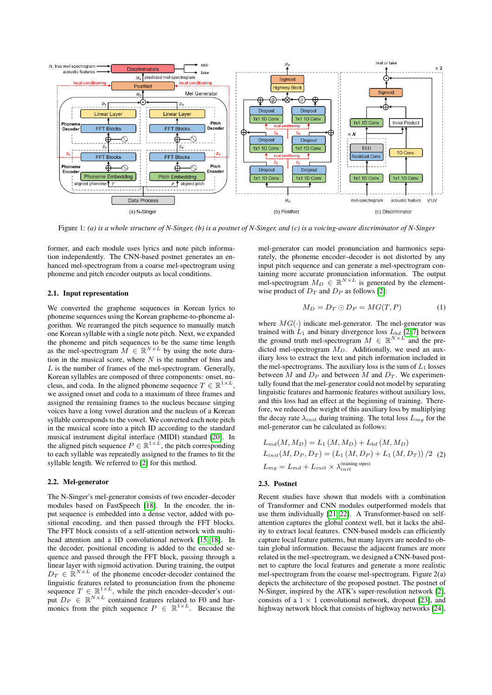

Figure 1: *(a) is a whole structure of N-Singer, (b) is a postnet of N-Singer, and (c) is a voicing-aware discriminator of N-Singer*

former, and each module uses lyrics and note pitch information independently. The CNN-based postnet generates an enhanced mel-spectrogram from a coarse mel-spectrogram using phoneme and pitch encoder outputs as local conditions.

# 2.1. Input representation

We converted the grapheme sequences in Korean lyrics to phoneme sequences using the Korean grapheme-to-phoneme algorithm. We rearranged the pitch sequence to manually match one Korean syllable with a single note pitch. Next, we expanded the phoneme and pitch sequences to be the same time length as the mel-spectrogram  $\overline{M} \in \mathbb{R}^{N \times L}$  by using the note duration in the musical score, where  $N$  is the number of bins and  $L$  is the number of frames of the mel-spectrogram. Generally, Korean syllables are composed of three components: onset, nucleus, and coda. In the aligned phoneme sequence  $T \in \mathbb{R}^{1 \times L}$ , we assigned onset and coda to a maximum of three frames and assigned the remaining frames to the nucleus because singing voices have a long vowel duration and the nucleus of a Korean syllable corresponds to the vowel. We converted each note pitch in the musical score into a pitch ID according to the standard musical instrument digital interface (MIDI) standard [\[20\]](#page-4-16). In the aligned pitch sequence  $P \in \mathbb{R}^{1 \times L}$ , the pitch corresponding to each syllable was repeatedly assigned to the frames to fit the syllable length. We referred to [\[2\]](#page-4-5) for this method.

### 2.2. Mel-generator

The N-Singer's mel-generator consists of two encoder–decoder modules based on FastSpeech [\[18\]](#page-4-14). In the encoder, the input sequence is embedded into a dense vector, added with positional encoding, and then passed through the FFT blocks. The FFT block consists of a self-attention network with multihead attention and a 1D convolutional network [\[15,](#page-4-17) [18\]](#page-4-14). In the decoder, positional encoding is added to the encoded sequence and passed through the FFT block, passing through a linear layer with sigmoid activation. During training, the output  $D_T \in \mathbb{R}^{N \times L}$  of the phoneme encoder-decoder contained the linguistic features related to pronunciation from the phoneme sequence  $T \in \mathbb{R}^{1 \times L}$ , while the pitch encoder-decoder's output  $D_P \in \mathbb{R}^{N \times L}$  contained features related to F0 and harmonics from the pitch sequence  $P \in \mathbb{R}^{1 \times L}$ . Because the

mel-generator can model pronunciation and harmonics separately, the phoneme encoder–decoder is not distorted by any input pitch sequence and can generate a mel-spectrogram containing more accurate pronunciation information. The output mel-spectrogram  $M_D \in \mathbb{R}^{N \times L}$  is generated by the elementwise product of  $D_T$  and  $D_P$  as follows [\[2\]](#page-4-5):

$$
M_D = D_T \odot D_P = MG(T, P) \tag{1}
$$

where  $MG(\cdot)$  indicate mel-generator. The mel-generator was trained with  $L_1$  and binary divergence loss  $L_{bd}$  [\[2,](#page-4-5)7] between the ground truth mel-spectrogram  $M \in \mathbb{R}^{N \times L}$  and the predicted mel-spectrogram  $M_D$ . Additionally, we used an auxiliary loss to extract the text and pitch information included in the mel-spectrograms. The auxiliary loss is the sum of  $L_1$  losses between M and  $D_P$  and between M and  $D_T$ . We experimentally found that the mel-generator could not model by separating linguistic features and harmonic features without auxiliary loss, and this loss had an effect at the beginning of training. Therefore, we reduced the weight of this auxiliary loss by multiplying the decay rate  $\lambda_{init}$  during training. The total loss  $L_{mg}$  for the mel-generator can be calculated as follows:

<span id="page-1-0"></span>
$$
L_{md}(M, M_D) = L_1(M, M_D) + L_{bd}(M, M_D)
$$
  
\n
$$
L_{init}(M, D_P, D_T) = (L_1(M, D_P) + L_1(M, D_T)) / 2
$$
 (2)  
\n
$$
L_{mg} = L_{md} + L_{init} \times \lambda_{init}^{(\text{training steps})}
$$

### 2.3. Postnet

Recent studies have shown that models with a combination of Transformer and CNN modules outperformed models that use them individually [\[21,](#page-4-18) [22\]](#page-4-19). A Transformer-based on selfattention captures the global context well, but it lacks the ability to extract local features. CNN-based models can efficiently capture local feature patterns, but many layers are needed to obtain global information. Because the adjacent frames are more related in the mel-spectrogram, we designed a CNN-based postnet to capture the local features and generate a more realistic mel-spectrogram from the coarse mel-spectrogram. Figure 2(a) depicts the architecture of the proposed postnet. The postnet of N-Singer, inspired by the ATK's super-resolution network [\[2\]](#page-4-5), consists of a  $1 \times 1$  convolutional network, dropout [\[23\]](#page-4-20), and highway network block that consists of highway networks [\[24\]](#page-4-21),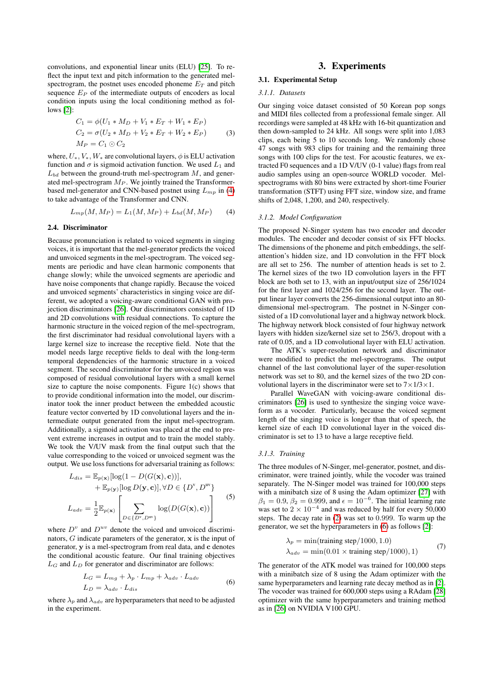convolutions, and exponential linear units (ELU) [\[25\]](#page-4-22). To reflect the input text and pitch information to the generated melspectrogram, the postnet uses encoded phoneme  $E_T$  and pitch sequence  $E_P$  of the intermediate outputs of encoders as local condition inputs using the local conditioning method as follows [\[2\]](#page-4-5):

$$
C_1 = \phi(U_1 * M_D + V_1 * E_T + W_1 * E_P)
$$
  
\n
$$
C_2 = \sigma(U_2 * M_D + V_2 * E_T + W_2 * E_P)
$$
  
\n
$$
M_P = C_1 \odot C_2
$$
 (3)

where,  $U_*, V_*, W_*$  are convolutional layers,  $\phi$  is ELU activation function and  $\sigma$  is sigmoid activation function. We used  $L_1$  and  $L_{bd}$  between the ground-truth mel-spectrogram  $M$ , and generated mel-spectrogram  $M_P$ . We jointly trained the Transformerbased mel-generator and CNN-based postnet using  $L_{mp}$  in [\(4\)](#page-2-0) to take advantage of the Transformer and CNN.

<span id="page-2-0"></span>
$$
L_{mp}(M, M_P) = L_1(M, M_P) + L_{bd}(M, M_P)
$$
 (4)

### 2.4. Discriminator

Because pronunciation is related to voiced segments in singing voices, it is important that the mel-generator predicts the voiced and unvoiced segments in the mel-spectrogram. The voiced segments are periodic and have clean harmonic components that change slowly; while the unvoiced segments are aperiodic and have noise components that change rapidly. Because the voiced and unvoiced segments' characteristics in singing voice are different, we adopted a voicing-aware conditional GAN with projection discriminators [\[26\]](#page-4-23). Our discriminators consisted of 1D and 2D convolutions with residual connections. To capture the harmonic structure in the voiced region of the mel-spectrogram, the first discriminator had residual convolutional layers with a large kernel size to increase the receptive field. Note that the model needs large receptive fields to deal with the long-term temporal dependencies of the harmonic structure in a voiced segment. The second discriminator for the unvoiced region was composed of residual convolutional layers with a small kernel size to capture the noise components. Figure 1(c) shows that to provide conditional information into the model, our discriminator took the inner product between the embedded acoustic feature vector converted by 1D convolutional layers and the intermediate output generated from the input mel-spectrogram. Additionally, a sigmoid activation was placed at the end to prevent extreme increases in output and to train the model stably. We took the V/UV mask from the final output such that the value corresponding to the voiced or unvoiced segment was the output. We use loss functions for adversarial training as follows:

$$
L_{dis} = \mathbb{E}_{p(\mathbf{x})}[\log(1 - D(G(\mathbf{x}), \mathbf{c}))],
$$
  
+  $\mathbb{E}_{p(\mathbf{y})}[\log D(\mathbf{y}, \mathbf{c})], \forall D \in \{D^{\mathrm{v}}, D^{\mathrm{uv}}\}$   

$$
L_{adv} = \frac{1}{2} \mathbb{E}_{p(\mathbf{x})} \left[ \sum_{D \in \{D^{\mathrm{v}}, D^{\mathrm{uv}}\}} \log(D(G(\mathbf{x}), \mathbf{c})) \right]
$$
(5)

where  $D^v$  and  $D^{uv}$  denote the voiced and unvoiced discriminators, G indicate parameters of the generator, x is the input of generator, y is a mel-spectrogram from real data, and c denotes the conditional acoustic feature. Our final training objectives  $L_G$  and  $L_D$  for generator and discriminator are follows:

$$
L_G = L_{mg} + \lambda_p \cdot L_{mp} + \lambda_{adv} \cdot L_{adv}
$$
  
\n
$$
L_D = \lambda_{adv} \cdot L_{dis}
$$
 (6)

<span id="page-2-1"></span>where  $\lambda_p$  and  $\lambda_{adv}$  are hyperparameters that need to be adjusted in the experiment.

# 3. Experiments

# 3.1. Experimental Setup

#### *3.1.1. Datasets*

Our singing voice dataset consisted of 50 Korean pop songs and MIDI files collected from a professional female singer. All recordings were sampled at 48 kHz with 16-bit quantization and then down-sampled to 24 kHz. All songs were split into 1,083 clips, each being 5 to 10 seconds long. We randomly chose 47 songs with 983 clips for training and the remaining three songs with 100 clips for the test. For acoustic features, we extracted F0 sequences and a 1D V/UV (0-1 value) flags from real audio samples using an open-source WORLD vocoder. Melspectrograms with 80 bins were extracted by short-time Fourier transformation (STFT) using FFT size, window size, and frame shifts of 2,048, 1,200, and 240, respectively.

#### *3.1.2. Model Configuration*

The proposed N-Singer system has two encoder and decoder modules. The encoder and decoder consist of six FFT blocks. The dimensions of the phoneme and pitch embeddings, the selfattention's hidden size, and 1D convolution in the FFT block are all set to 256. The number of attention heads is set to 2. The kernel sizes of the two 1D convolution layers in the FFT block are both set to 13, with an input/output size of 256/1024 for the first layer and 1024/256 for the second layer. The output linear layer converts the 256-dimensional output into an 80 dimensional mel-spectrogram. The postnet in N-Singer consisted of a 1D convolutional layer and a highway network block. The highway network block consisted of four highway network layers with hidden size/kernel size set to 256/3, dropout with a rate of 0.05, and a 1D convolutional layer with ELU activation.

The ATK's super-resolution network and discriminator were modified to predict the mel-spectrograms. The output channel of the last convolutional layer of the super-resolution network was set to 80, and the kernel sizes of the two 2D convolutional layers in the discriminator were set to  $7 \times 1/3 \times 1$ .

Parallel WaveGAN with voicing-aware conditional discriminators [\[26\]](#page-4-23) is used to synthesize the singing voice waveform as a vocoder. Particularly, because the voiced segment length of the singing voice is longer than that of speech, the kernel size of each 1D convolutional layer in the voiced discriminator is set to 13 to have a large receptive field.

### *3.1.3. Training*

The three modules of N-Singer, mel-generator, postnet, and discriminator, were trained jointly, while the vocoder was trained separately. The N-Singer model was trained for 100,000 steps with a minibatch size of 8 using the Adam optimizer [\[27\]](#page-4-24) with  $\beta_1 = 0.9, \beta_2 = 0.999$ , and  $\epsilon = 10^{-6}$ . The initial learning rate was set to  $2 \times 10^{-4}$  and was reduced by half for every 50,000 steps. The decay rate in [\(2\)](#page-1-0) was set to 0.999. To warm up the generator, we set the hyperparameters in [\(6\)](#page-2-1) as follows [\[2\]](#page-4-5):

$$
\lambda_p = \min(\text{training step}/1000, 1.0)
$$
  
\n
$$
\lambda_{adv} = \min(0.01 \times \text{training step}/1000), 1)
$$
 (7)

The generator of the ATK model was trained for 100,000 steps with a minibatch size of 8 using the Adam optimizer with the same hyperparameters and learning rate decay method as in [\[2\]](#page-4-5). The vocoder was trained for 600,000 steps using a RAdam [\[28\]](#page-4-25) optimizer with the same hyperparameters and training method as in [\[26\]](#page-4-23) on NVIDIA V100 GPU.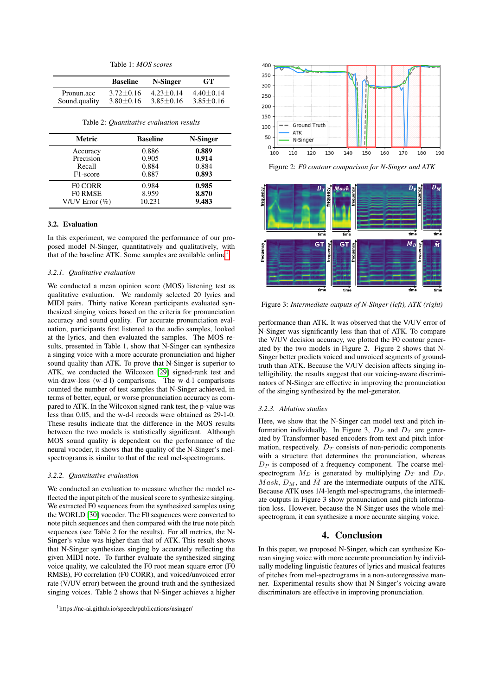| Table 1: <i>MOS scores</i> |  |  |  |  |  |  |  |
|----------------------------|--|--|--|--|--|--|--|
|----------------------------|--|--|--|--|--|--|--|

|               | <b>Baseline</b> | N-Singer        | <b>GT</b>     |
|---------------|-----------------|-----------------|---------------|
| Pronun.acc    | $3.72 + 0.16$   | $4.23 + 0.14$   | $4.40 + 0.14$ |
| Sound.quality | $3.80 \pm 0.16$ | $3.85 \pm 0.16$ | $3.85 + 0.16$ |

Table 2: *Quantitative evaluation results*

| Metric                | <b>Baseline</b> | N-Singer |
|-----------------------|-----------------|----------|
| Accuracy              | 0.886           | 0.889    |
| Precision             | 0.905           | 0.914    |
| Recall                | 0.884           | 0.884    |
| F <sub>1</sub> -score | 0.887           | 0.893    |
| <b>FO CORR</b>        | 0.984           | 0.985    |
| <b>FO RMSE</b>        | 8.959           | 8.870    |
| V/UV Error $(\%)$     | 10.231          | 9.483    |

#### 3.2. Evaluation

In this experiment, we compared the performance of our proposed model N-Singer, quantitatively and qualitatively, with that of the baseline ATK. Some samples are available online<sup>[1](#page-3-0)</sup>.

### *3.2.1. Qualitative evaluation*

We conducted a mean opinion score (MOS) listening test as qualitative evaluation. We randomly selected 20 lyrics and MIDI pairs. Thirty native Korean participants evaluated synthesized singing voices based on the criteria for pronunciation accuracy and sound quality. For accurate pronunciation evaluation, participants first listened to the audio samples, looked at the lyrics, and then evaluated the samples. The MOS results, presented in Table 1, show that N-Singer can synthesize a singing voice with a more accurate pronunciation and higher sound quality than ATK. To prove that N-Singer is superior to ATK, we conducted the Wilcoxon [\[29\]](#page-4-26) signed-rank test and win-draw-loss (w-d-l) comparisons. The w-d-l comparisons counted the number of test samples that N-Singer achieved, in terms of better, equal, or worse pronunciation accuracy as compared to ATK. In the Wilcoxon signed-rank test, the p-value was less than 0.05, and the w-d-l records were obtained as 29-1-0. These results indicate that the difference in the MOS results between the two models is statistically significant. Although MOS sound quality is dependent on the performance of the neural vocoder, it shows that the quality of the N-Singer's melspectrograms is similar to that of the real mel-spectrograms.

### *3.2.2. Quantitative evaluation*

We conducted an evaluation to measure whether the model reflected the input pitch of the musical score to synthesize singing. We extracted F0 sequences from the synthesized samples using the WORLD [\[30\]](#page-4-27) vocoder. The F0 sequences were converted to note pitch sequences and then compared with the true note pitch sequences (see Table 2 for the results). For all metrics, the N-Singer's value was higher than that of ATK. This result shows that N-Singer synthesizes singing by accurately reflecting the given MIDI note. To further evaluate the synthesized singing voice quality, we calculated the F0 root mean square error (F0 RMSE), F0 correlation (F0 CORR), and voiced/unvoiced error rate (V/UV error) between the ground-truth and the synthesized singing voices. Table 2 shows that N-Singer achieves a higher



Figure 2: *F0 contour comparison for N-Singer and ATK*



Figure 3: *Intermediate outputs of N-Singer (left), ATK (right)*

performance than ATK. It was observed that the V/UV error of N-Singer was significantly less than that of ATK. To compare the V/UV decision accuracy, we plotted the F0 contour generated by the two models in Figure 2. Figure 2 shows that N-Singer better predicts voiced and unvoiced segments of groundtruth than ATK. Because the V/UV decision affects singing intelligibility, the results suggest that our voicing-aware discriminators of N-Singer are effective in improving the pronunciation of the singing synthesized by the mel-generator.

#### *3.2.3. Ablation studies*

Here, we show that the N-Singer can model text and pitch information individually. In Figure 3,  $D_P$  and  $D_T$  are generated by Transformer-based encoders from text and pitch information, respectively.  $D_T$  consists of non-periodic components with a structure that determines the pronunciation, whereas  $D_P$  is composed of a frequency component. The coarse melspectrogram  $M_D$  is generated by multiplying  $D_T$  and  $D_P$ .  $Mask, D_M$ , and  $\hat{M}$  are the intermediate outputs of the ATK. Because ATK uses 1/4-length mel-spectrograms, the intermediate outputs in Figure 3 show pronunciation and pitch information loss. However, because the N-Singer uses the whole melspectrogram, it can synthesize a more accurate singing voice.

# 4. Conclusion

In this paper, we proposed N-Singer, which can synthesize Korean singing voice with more accurate pronunciation by individually modeling linguistic features of lyrics and musical features of pitches from mel-spectrograms in a non-autoregressive manner. Experimental results show that N-Singer's voicing-aware discriminators are effective in improving pronunciation.

<span id="page-3-0"></span><sup>1</sup>https://nc-ai.github.io/speech/publications/nsinger/